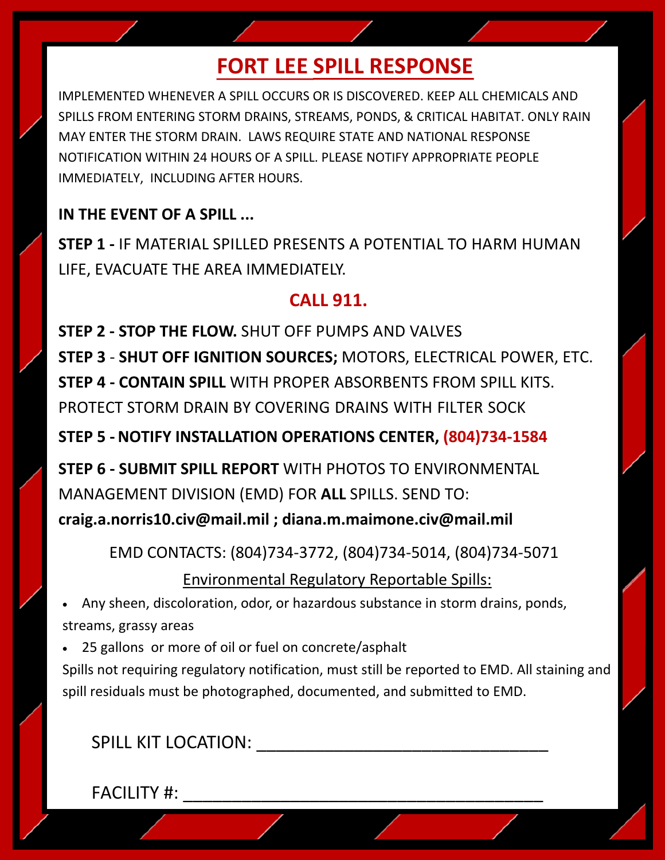# **FORT LEE SPILL RESPONSE**

IMPLEMENTED WHENEVER A SPILL OCCURS OR IS DISCOVERED. KEEP ALL CHEMICALS AND SPILLS FROM ENTERING STORM DRAINS, STREAMS, PONDS, & CRITICAL HABITAT. ONLY RAIN MAY ENTER THE STORM DRAIN. LAWS REQUIRE STATE AND NATIONAL RESPONSE NOTIFICATION WITHIN 24 HOURS OF A SPILL. PLEASE NOTIFY APPROPRIATE PEOPLE IMMEDIATELY, INCLUDING AFTER HOURS.

### **IN THE EVENT OF A SPILL ...**

**STEP 1 -** IF MATERIAL SPILLED PRESENTS A POTENTIAL TO HARM HUMAN LIFE, EVACUATE THE AREA IMMEDIATELY.

### **CALL 911.**

**STEP 2 - STOP THE FLOW.** SHUT OFF PUMPS AND VALVES **STEP 3** - **SHUT OFF IGNITION SOURCES;** MOTORS, ELECTRICAL POWER, ETC. **STEP 4 - CONTAIN SPILL** WITH PROPER ABSORBENTS FROM SPILL KITS. PROTECT STORM DRAIN BY COVERING DRAINS WITH FILTER SOCK

**STEP 5 - NOTIFY INSTALLATION OPERATIONS CENTER, (804)734-1584** 

**STEP 6 - SUBMIT SPILL REPORT** WITH PHOTOS TO ENVIRONMENTAL MANAGEMENT DIVISION (EMD) FOR **ALL** SPILLS. SEND TO: **craig.a.norris10.civ@mail.mil ; diana.m.maimone.civ@mail.mil**

EMD CONTACTS: (804)734-3772, (804)734-5014, (804)734-5071

Environmental Regulatory Reportable Spills:

• Any sheen, discoloration, odor, or hazardous substance in storm drains, ponds, streams, grassy areas

• 25 gallons or more of oil or fuel on concrete/asphalt

Spills not requiring regulatory notification, must still be reported to EMD. All staining and spill residuals must be photographed, documented, and submitted to EMD.

SPILL KIT LOCATION:

FACILITY #: